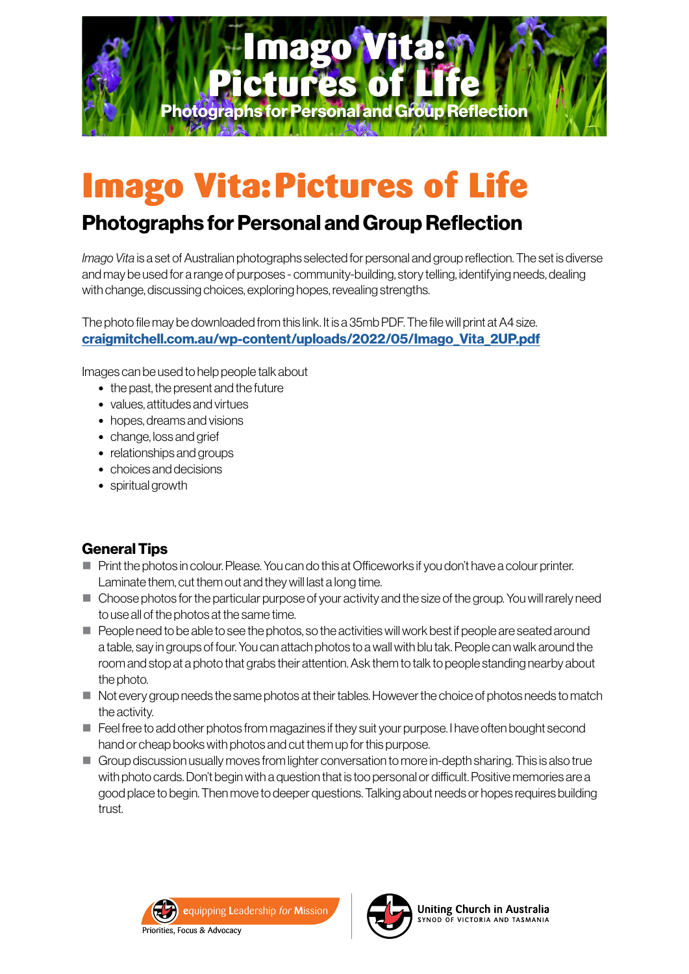

# Imago Vita:Pictures of Life

# Photographs for Personal and Group Reflection

*Imago Vita* is a set of Australian photographs selected for personal and group reflection. The set is diverse and may be used for a range of purposes - community-building, story telling, identifying needs, dealing with change, discussing choices, exploring hopes, revealing strengths.

The photo file may be downloaded from this link. It is a 35mb PDF. The file will print at A4 size. [craigmitchell.com.au/wp-content/uploads/2022/05/Imago\\_Vita\\_2UP.pdf](http://craigmitchell.com.au/wp-content/uploads/2022/05/Imago_Vita_2UP.pdf)

Images can be used to help people talk about

- the past, the present and the future
- values, attitudes and virtues
- hopes, dreams and visions
- change, loss and grief
- relationships and groups
- choices and decisions
- spiritual growth

## General Tips

- $\blacksquare$  Print the photos in colour. Please. You can do this at Officeworks if you don't have a colour printer. Laminate them, cut them out and they will last a long time.
- **Choose photos for the particular purpose of your activity and the size of the group. You will rarely need** to use all of the photos at the same time.
- $\blacksquare$  People need to be able to see the photos, so the activities will work best if people are seated around a table, say in groups of four. You can attach photos to a wall with blu tak. People can walk around the room and stop at a photo that grabs their attention. Ask them to talk to people standing nearby about the photo.
- $\blacksquare$  Not every group needs the same photos at their tables. However the choice of photos needs to match the activity.
- $\blacksquare$  Feel free to add other photos from magazines if they suit your purpose. I have often bought second hand or cheap books with photos and cut them up for this purpose.
- Group discussion usually moves from lighter conversation to more in-depth sharing. This is also true with photo cards. Don't begin with a question that is too personal or difficult. Positive memories are a good place to begin. Then move to deeper questions. Talking about needs or hopes requires building trust.



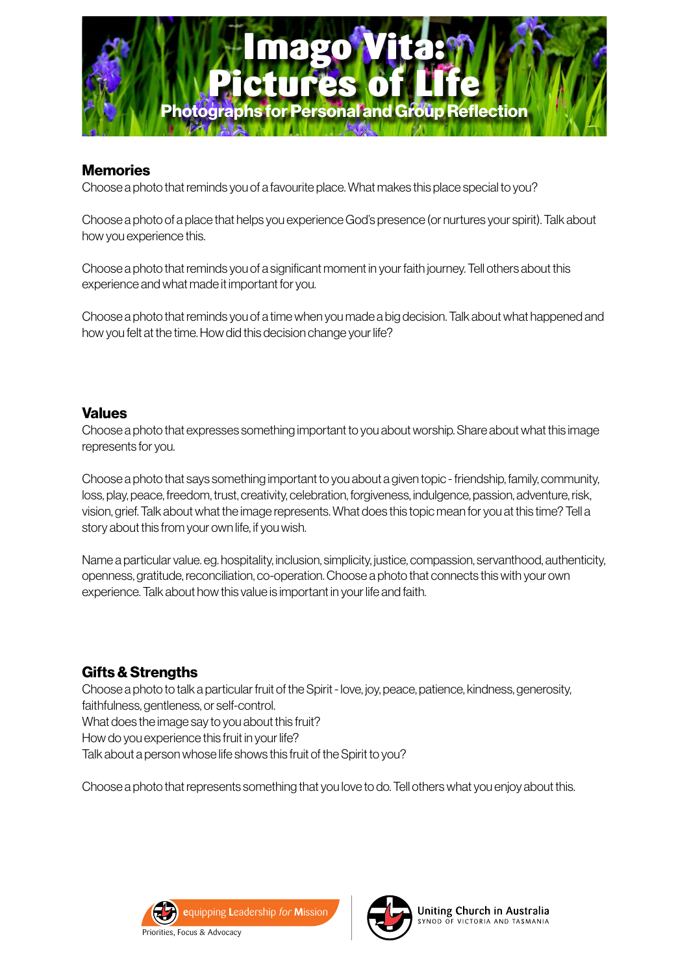

#### **Memories**

Choose a photo that reminds you of a favourite place. What makes this place special to you?

Choose a photo of a place that helps you experience God's presence (or nurtures your spirit). Talk about how you experience this.

Choose a photo that reminds you of a significant moment in your faith journey. Tell others about this experience and what made it important for you.

Choose a photo that reminds you of a time when you made a big decision. Talk about what happened and how you felt at the time. How did this decision change your life?

#### Values

Choose a photo that expresses something important to you about worship. Share about what this image represents for you.

Choose a photo that says something important to you about a given topic - friendship, family, community, loss, play, peace, freedom, trust, creativity, celebration, forgiveness, indulgence, passion, adventure, risk, vision, grief. Talk about what the image represents. What does this topic mean for you at this time? Tell a story about this from your own life, if you wish.

Name a particular value. eg. hospitality, inclusion, simplicity, justice, compassion, servanthood, authenticity, openness, gratitude, reconciliation, co-operation. Choose a photo that connects this with your own experience. Talk about how this value is important in your life and faith.

## Gifts & Strengths

Choose a photo to talk a particular fruit of the Spirit - love, joy, peace, patience, kindness, generosity, faithfulness, gentleness, or self-control.

What does the image say to you about this fruit?

How do you experience this fruit in your life?

Talk about a person whose life shows this fruit of the Spirit to you?

Choose a photo that represents something that you love to do. Tell others what you enjoy about this.